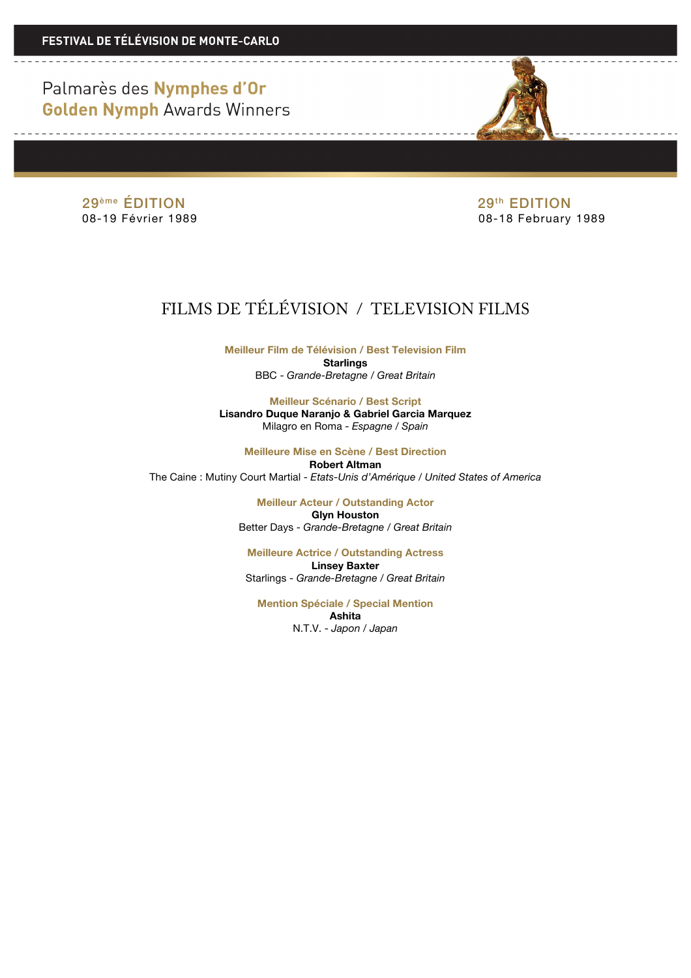Palmarès des Nymphes d'Or **Golden Nymph Awards Winners** 



29<sup>ème</sup> ÉDITION<br>08-19 Février 1989 **1999 - Paris Bandet Bandet British Contra Contra Contra Contra Contra Contra Contra Contra**<br>08-18 February

08-18 February 1989

## FILMS DE TÉLÉVISION / TELEVISION FILMS

**Meilleur Film de Télévision / Best Television Film Starlings** BBC - *Grande-Bretagne / Great Britain*

**Meilleur Scénario / Best Script Lisandro Duque Naranjo & Gabriel Garcia Marquez** Milagro en Roma - *Espagne / Spain*

**Meilleure Mise en Scène / Best Direction Robert Altman** The Caine : Mutiny Court Martial - *Etats-Unis d'Amérique / United States of America*

> **Meilleur Acteur / Outstanding Actor Glyn Houston** Better Days - *Grande-Bretagne / Great Britain*

**Meilleure Actrice / Outstanding Actress Linsey Baxter** Starlings - *Grande-Bretagne / Great Britain*

**Mention Spéciale / Special Mention Ashita** N.T.V. - *Japon / Japan*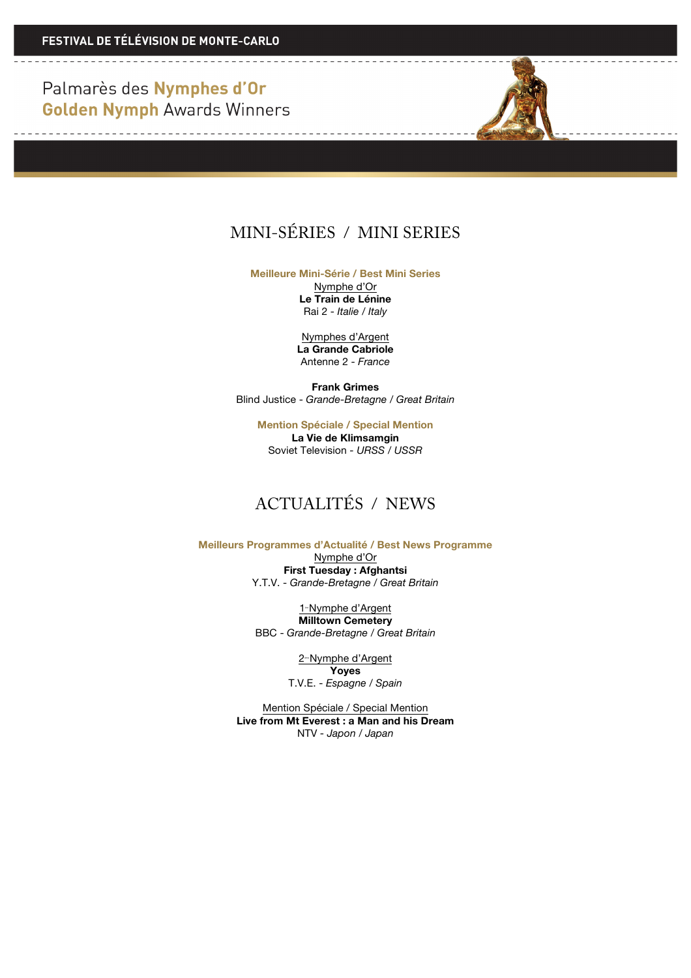Palmarès des Nymphes d'Or **Golden Nymph Awards Winners** 

## MINI-SÉRIES / MINI SERIES

**Meilleure Mini-Série / Best Mini Series**

Nymphe d'Or **Le Train de Lénine** Rai 2 - *Italie / Italy*

Nymphes d'Argent **La Grande Cabriole** Antenne 2 - *France*

**Frank Grimes** Blind Justice - *Grande-Bretagne / Great Britain*

> **Mention Spéciale / Special Mention La Vie de Klimsamgin** Soviet Television *- URSS / USSR*

### ACTUALITÉS / NEWS

**Meilleurs Programmes d'Actualité / Best News Programme** Nymphe d'Or

**First Tuesday : Afghantsi** Y.T.V. - *Grande-Bretagne / Great Britain*

1<sup>-</sup>Nymphe d'Argent **Milltown Cemetery** BBC - *Grande-Bretagne / Great Britain*

> 2<sup>e</sup>Nymphe d'Argent **Yoyes** T.V.E. - *Espagne / Spain*

Mention Spéciale / Special Mention **Live from Mt Everest : a Man and his Dream** NTV *- Japon / Japan*